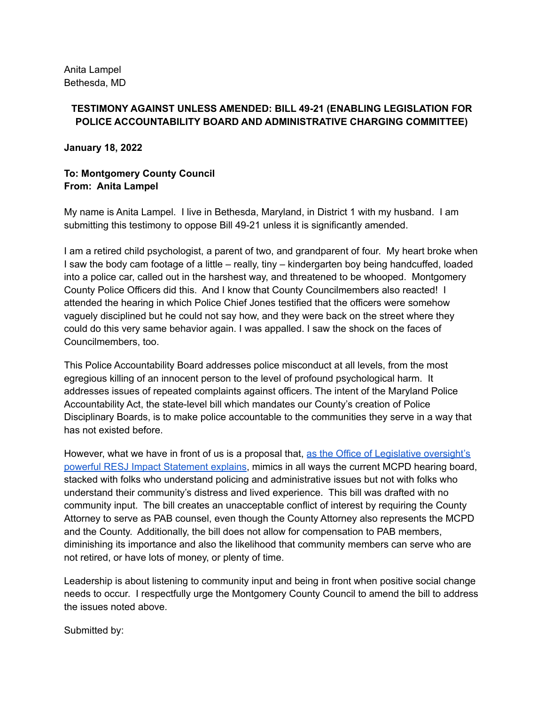## **TESTIMONY AGAINST UNLESS AMENDED: BILL 49-21 (ENABLING LEGISLATION FOR POLICE ACCOUNTABILITY BOARD AND ADMINISTRATIVE CHARGING COMMITTEE)**

**January 18, 2022**

## **To: Montgomery County Council From: Anita Lampel**

My name is Anita Lampel. I live in Bethesda, Maryland, in District 1 with my husband. I am submitting this testimony to oppose Bill 49-21 unless it is significantly amended.

I am a retired child psychologist, a parent of two, and grandparent of four. My heart broke when I saw the body cam footage of a little – really, tiny – kindergarten boy being handcuffed, loaded into a police car, called out in the harshest way, and threatened to be whooped. Montgomery County Police Officers did this. And I know that County Councilmembers also reacted! I attended the hearing in which Police Chief Jones testified that the officers were somehow vaguely disciplined but he could not say how, and they were back on the street where they could do this very same behavior again. I was appalled. I saw the shock on the faces of Councilmembers, too.

This Police Accountability Board addresses police misconduct at all levels, from the most egregious killing of an innocent person to the level of profound psychological harm. It addresses issues of repeated complaints against officers. The intent of the Maryland Police Accountability Act, the state-level bill which mandates our County's creation of Police Disciplinary Boards, is to make police accountable to the communities they serve in a way that has not existed before.

However, what we have in front of us is a proposal that, as the Office of Legislative [oversight's](https://www.montgomerycountymd.gov/OLO/Resources/Files/resjis/2022/Bill49-21.pdf) powerful RESJ Impact [Statement](https://www.montgomerycountymd.gov/OLO/Resources/Files/resjis/2022/Bill49-21.pdf) explains, mimics in all ways the current MCPD hearing board, stacked with folks who understand policing and administrative issues but not with folks who understand their community's distress and lived experience. This bill was drafted with no community input. The bill creates an unacceptable conflict of interest by requiring the County Attorney to serve as PAB counsel, even though the County Attorney also represents the MCPD and the County. Additionally, the bill does not allow for compensation to PAB members, diminishing its importance and also the likelihood that community members can serve who are not retired, or have lots of money, or plenty of time.

Leadership is about listening to community input and being in front when positive social change needs to occur. I respectfully urge the Montgomery County Council to amend the bill to address the issues noted above.

Submitted by: